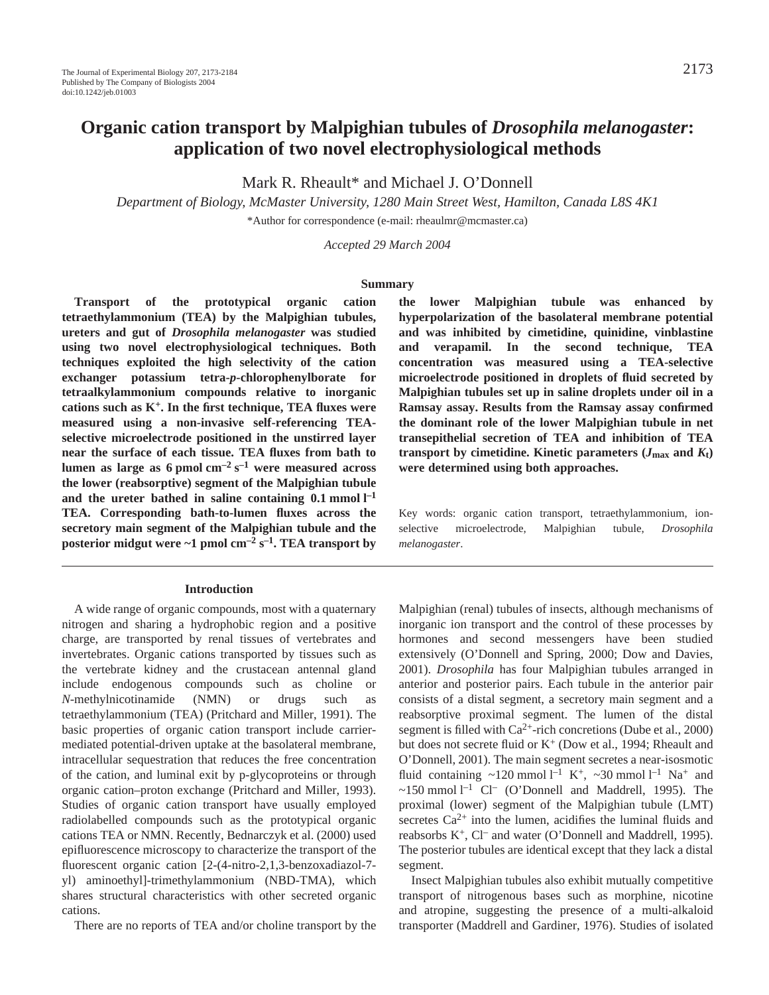Mark R. Rheault<sup>\*</sup> and Michael J. O'Donnell

*Department of Biology, McMaster University, 1280 Main Street West, Hamilton, Canada L8S 4K1* \*Author for correspondence (e-mail: rheaulmr@mcmaster.ca)

*Accepted 29 March 2004*

#### **Summary**

**Transport of the prototypical organic cation tetraethylammonium (TEA) by the Malpighian tubules, ureters and gut of** *Drosophila melanogaster* **was studied using two novel electrophysiological techniques. Both techniques exploited the high selectivity of the cation exchanger potassium tetra-***p***-chlorophenylborate for tetraalkylammonium compounds relative to inorganic cations such as K+. In the first technique, TEA fluxes were measured using a non-invasive self-referencing TEAselective microelectrode positioned in the unstirred layer near the surface of each tissue. TEA fluxes from bath to** lumen as large as 6 pmol  $cm^{-2} s^{-1}$  were measured across **the lower (reabsorptive) segment of the Malpighian tubule** and the ureter bathed in saline containing  $0.1$  mmol  $I^{-1}$ **TEA. Corresponding bath-to-lumen fluxes across the secretory main segment of the Malpighian tubule and the posterior midgut were**  $\sim$ **1** pmol cm<sup>-2</sup> s<sup>-1</sup>. TEA transport by

#### **Introduction**

A wide range of organic compounds, most with a quaternary nitrogen and sharing a hydrophobic region and a positive charge, are transported by renal tissues of vertebrates and invertebrates. Organic cations transported by tissues such as the vertebrate kidney and the crustacean antennal gland include endogenous compounds such as choline or *N*-methylnicotinamide (NMN) or drugs such as tetraethylammonium (TEA) (Pritchard and Miller, 1991). The basic properties of organic cation transport include carriermediated potential-driven uptake at the basolateral membrane, intracellular sequestration that reduces the free concentration of the cation, and luminal exit by p-glycoproteins or through organic cation–proton exchange (Pritchard and Miller, 1993). Studies of organic cation transport have usually employed radiolabelled compounds such as the prototypical organic cations TEA or NMN. Recently, Bednarczyk et al. (2000) used epifluorescence microscopy to characterize the transport of the fluorescent organic cation [2-(4-nitro-2,1,3-benzoxadiazol-7 yl) aminoethyl]-trimethylammonium (NBD-TMA), which shares structural characteristics with other secreted organic cations.

There are no reports of TEA and/or choline transport by the

**the lower Malpighian tubule was enhanced by hyperpolarization of the basolateral membrane potential and was inhibited by cimetidine, quinidine, vinblastine and verapamil. In the second technique, TEA concentration was measured using a TEA-selective microelectrode positioned in droplets of fluid secreted by Malpighian tubules set up in saline droplets under oil in a Ramsay assay. Results from the Ramsay assay confirmed the dominant role of the lower Malpighian tubule in net transepithelial secretion of TEA and inhibition of TEA transport by cimetidine. Kinetic parameters (** $J_{\text{max}}$  **and**  $K_t$ **) were determined using both approaches.**

Key words: organic cation transport, tetraethylammonium, ionselective microelectrode, Malpighian tubule, *Drosophila melanogaster*.

Malpighian (renal) tubules of insects, although mechanisms of inorganic ion transport and the control of these processes by hormones and second messengers have been studied extensively (O'Donnell and Spring, 2000; Dow and Davies, 2001). *Drosophila* has four Malpighian tubules arranged in anterior and posterior pairs. Each tubule in the anterior pair consists of a distal segment, a secretory main segment and a reabsorptive proximal segment. The lumen of the distal segment is filled with  $Ca^{2+}$ -rich concretions (Dube et al., 2000) but does not secrete fluid or  $K^+$  (Dow et al., 1994; Rheault and O'Donnell, 2001). The main segment secretes a near-isosmotic fluid containing  $\sim$ 120 mmol l<sup>-1</sup> K<sup>+</sup>,  $\sim$ 30 mmol l<sup>-1</sup> Na<sup>+</sup> and  $\sim$ 150 mmol<sup>1-1</sup> Cl<sup>-</sup> (O'Donnell and Maddrell, 1995). The proximal (lower) segment of the Malpighian tubule (LMT) secretes  $Ca^{2+}$  into the lumen, acidifies the luminal fluids and reabsorbs K<sup>+</sup>, Cl<sup>-</sup> and water (O'Donnell and Maddrell, 1995). The posterior tubules are identical except that they lack a distal segment.

Insect Malpighian tubules also exhibit mutually competitive transport of nitrogenous bases such as morphine, nicotine and atropine, suggesting the presence of a multi-alkaloid transporter (Maddrell and Gardiner, 1976). Studies of isolated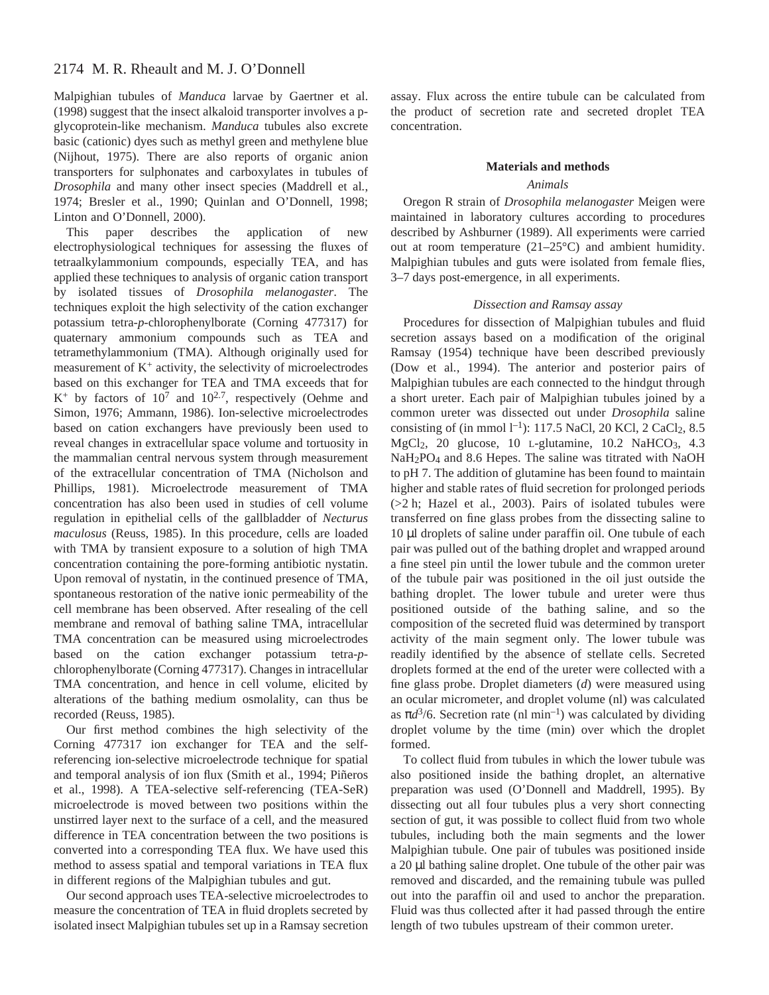Malpighian tubules of *Manduca* larvae by Gaertner et al. (1998) suggest that the insect alkaloid transporter involves a pglycoprotein-like mechanism. *Manduca* tubules also excrete basic (cationic) dyes such as methyl green and methylene blue (Nijhout, 1975). There are also reports of organic anion transporters for sulphonates and carboxylates in tubules of *Drosophila* and many other insect species (Maddrell et al*.*, 1974; Bresler et al., 1990; Quinlan and O'Donnell, 1998; Linton and O'Donnell, 2000).

This paper describes the application of new electrophysiological techniques for assessing the fluxes of tetraalkylammonium compounds, especially TEA, and has applied these techniques to analysis of organic cation transport by isolated tissues of *Drosophila melanogaster*. The techniques exploit the high selectivity of the cation exchanger potassium tetra-*p*-chlorophenylborate (Corning 477317) for quaternary ammonium compounds such as TEA and tetramethylammonium (TMA). Although originally used for measurement of  $K^+$  activity, the selectivity of microelectrodes based on this exchanger for TEA and TMA exceeds that for  $K^+$  by factors of  $10^7$  and  $10^{2.7}$ , respectively (Oehme and Simon, 1976; Ammann, 1986). Ion-selective microelectrodes based on cation exchangers have previously been used to reveal changes in extracellular space volume and tortuosity in the mammalian central nervous system through measurement of the extracellular concentration of TMA (Nicholson and Phillips, 1981). Microelectrode measurement of TMA concentration has also been used in studies of cell volume regulation in epithelial cells of the gallbladder of *Necturus maculosus* (Reuss, 1985). In this procedure, cells are loaded with TMA by transient exposure to a solution of high TMA concentration containing the pore-forming antibiotic nystatin. Upon removal of nystatin, in the continued presence of TMA, spontaneous restoration of the native ionic permeability of the cell membrane has been observed. After resealing of the cell membrane and removal of bathing saline TMA, intracellular TMA concentration can be measured using microelectrodes based on the cation exchanger potassium tetra-*p*chlorophenylborate (Corning 477317). Changes in intracellular TMA concentration, and hence in cell volume, elicited by alterations of the bathing medium osmolality, can thus be recorded (Reuss, 1985).

Our first method combines the high selectivity of the Corning 477317 ion exchanger for TEA and the selfreferencing ion-selective microelectrode technique for spatial and temporal analysis of ion flux (Smith et al., 1994; Piñeros et al., 1998). A TEA-selective self-referencing (TEA-SeR) microelectrode is moved between two positions within the unstirred layer next to the surface of a cell, and the measured difference in TEA concentration between the two positions is converted into a corresponding TEA flux. We have used this method to assess spatial and temporal variations in TEA flux in different regions of the Malpighian tubules and gut.

Our second approach uses TEA-selective microelectrodes to measure the concentration of TEA in fluid droplets secreted by isolated insect Malpighian tubules set up in a Ramsay secretion assay. Flux across the entire tubule can be calculated from the product of secretion rate and secreted droplet TEA concentration.

### **Materials and methods**

#### *Animals*

Oregon R strain of *Drosophila melanogaster* Meigen were maintained in laboratory cultures according to procedures described by Ashburner (1989). All experiments were carried out at room temperature (21–25°C) and ambient humidity. Malpighian tubules and guts were isolated from female flies, 3–7 days post-emergence, in all experiments.

#### *Dissection and Ramsay assay*

Procedures for dissection of Malpighian tubules and fluid secretion assays based on a modification of the original Ramsay (1954) technique have been described previously (Dow et al*.*, 1994). The anterior and posterior pairs of Malpighian tubules are each connected to the hindgut through a short ureter. Each pair of Malpighian tubules joined by a common ureter was dissected out under *Drosophila* saline consisting of (in mmol  $l^{-1}$ ): 117.5 NaCl, 20 KCl, 2 CaCl<sub>2</sub>, 8.5 MgCl<sub>2</sub>, 20 glucose, 10 L-glutamine, 10.2 NaHCO<sub>3</sub>, 4.3 NaH2PO4 and 8.6 Hepes. The saline was titrated with NaOH to pH 7. The addition of glutamine has been found to maintain higher and stable rates of fluid secretion for prolonged periods  $(22 h; Hazel et al., 2003)$ . Pairs of isolated tubules were transferred on fine glass probes from the dissecting saline to 10 µl droplets of saline under paraffin oil. One tubule of each pair was pulled out of the bathing droplet and wrapped around a fine steel pin until the lower tubule and the common ureter of the tubule pair was positioned in the oil just outside the bathing droplet. The lower tubule and ureter were thus positioned outside of the bathing saline, and so the composition of the secreted fluid was determined by transport activity of the main segment only. The lower tubule was readily identified by the absence of stellate cells. Secreted droplets formed at the end of the ureter were collected with a fine glass probe. Droplet diameters (*d*) were measured using an ocular micrometer, and droplet volume (nl) was calculated as  $\pi d^{3}/6$ . Secretion rate (nl min<sup>-1</sup>) was calculated by dividing droplet volume by the time (min) over which the droplet formed.

To collect fluid from tubules in which the lower tubule was also positioned inside the bathing droplet, an alternative preparation was used (O'Donnell and Maddrell, 1995). By dissecting out all four tubules plus a very short connecting section of gut, it was possible to collect fluid from two whole tubules, including both the main segments and the lower Malpighian tubule. One pair of tubules was positioned inside a 20 µl bathing saline droplet. One tubule of the other pair was removed and discarded, and the remaining tubule was pulled out into the paraffin oil and used to anchor the preparation. Fluid was thus collected after it had passed through the entire length of two tubules upstream of their common ureter.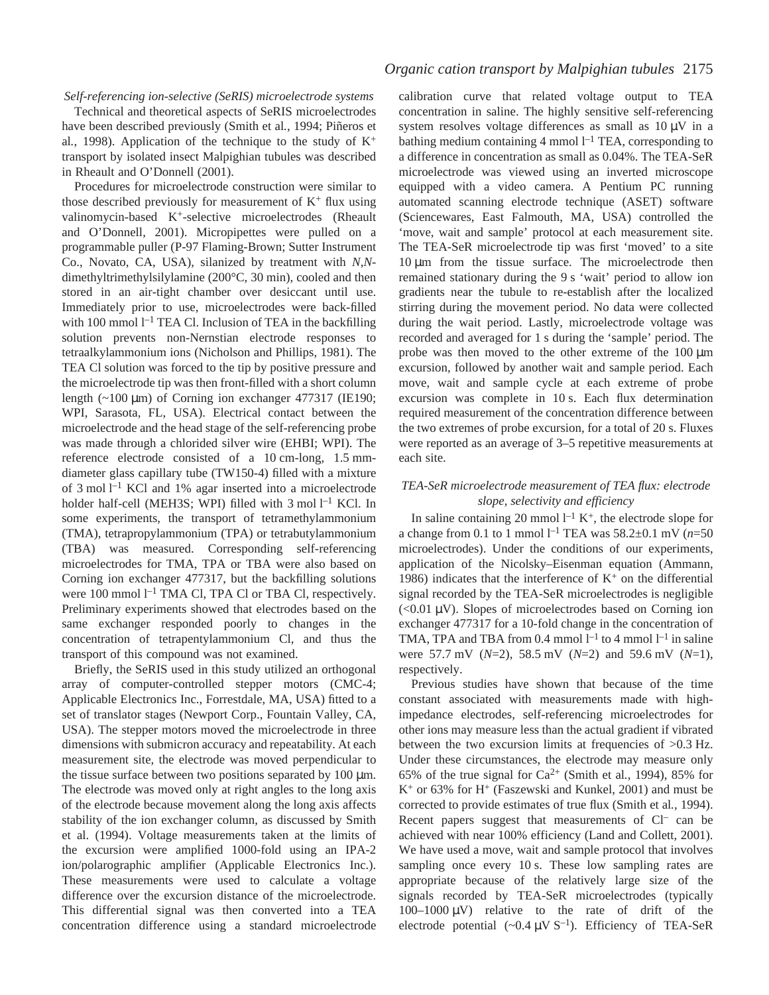## *Self-referencing ion-selective (SeRIS) microelectrode systems*

Technical and theoretical aspects of SeRIS microelectrodes have been described previously (Smith et al*.*, 1994; Piñeros et al., 1998). Application of the technique to the study of  $K^+$ transport by isolated insect Malpighian tubules was described in Rheault and O'Donnell (2001).

Procedures for microelectrode construction were similar to those described previously for measurement of  $K^+$  flux using valinomycin-based K+-selective microelectrodes (Rheault and O'Donnell, 2001). Micropipettes were pulled on a programmable puller (P-97 Flaming-Brown; Sutter Instrument Co., Novato, CA, USA), silanized by treatment with *N*,*N*dimethyltrimethylsilylamine (200°C, 30 min), cooled and then stored in an air-tight chamber over desiccant until use. Immediately prior to use, microelectrodes were back-filled with 100 mmol  $l^{-1}$  TEA Cl. Inclusion of TEA in the backfilling solution prevents non-Nernstian electrode responses to tetraalkylammonium ions (Nicholson and Phillips, 1981). The TEA Cl solution was forced to the tip by positive pressure and the microelectrode tip was then front-filled with a short column length  $(\sim 100 \,\mu m)$  of Corning ion exchanger 477317 (IE190; WPI, Sarasota, FL, USA). Electrical contact between the microelectrode and the head stage of the self-referencing probe was made through a chlorided silver wire (EHBI; WPI). The reference electrode consisted of a  $10 \text{ cm-long}$ ,  $1.5 \text{ mm}$ diameter glass capillary tube (TW150-4) filled with a mixture of 3 mol  $l<sup>-1</sup>$  KCl and 1% agar inserted into a microelectrode holder half-cell (MEH3S; WPI) filled with  $3 \text{ mol } l^{-1}$  KCl. In some experiments, the transport of tetramethylammonium (TMA), tetrapropylammonium (TPA) or tetrabutylammonium (TBA) was measured. Corresponding self-referencing microelectrodes for TMA, TPA or TBA were also based on Corning ion exchanger 477317, but the backfilling solutions were  $100$  mmol  $l^{-1}$  TMA Cl, TPA Cl or TBA Cl, respectively. Preliminary experiments showed that electrodes based on the same exchanger responded poorly to changes in the concentration of tetrapentylammonium Cl, and thus the transport of this compound was not examined.

Briefly, the SeRIS used in this study utilized an orthogonal array of computer-controlled stepper motors (CMC-4; Applicable Electronics Inc., Forrestdale, MA, USA) fitted to a set of translator stages (Newport Corp., Fountain Valley, CA, USA). The stepper motors moved the microelectrode in three dimensions with submicron accuracy and repeatability. At each measurement site, the electrode was moved perpendicular to the tissue surface between two positions separated by  $100 \mu m$ . The electrode was moved only at right angles to the long axis of the electrode because movement along the long axis affects stability of the ion exchanger column, as discussed by Smith et al. (1994). Voltage measurements taken at the limits of the excursion were amplified 1000-fold using an IPA-2 ion/polarographic amplifier (Applicable Electronics Inc.). These measurements were used to calculate a voltage difference over the excursion distance of the microelectrode. This differential signal was then converted into a TEA concentration difference using a standard microelectrode

## *Organic cation transport by Malpighian tubules* 2175

calibration curve that related voltage output to TEA concentration in saline. The highly sensitive self-referencing system resolves voltage differences as small as  $10 \mu V$  in a bathing medium containing  $4$  mmol  $l^{-1}$  TEA, corresponding to a difference in concentration as small as 0.04%. The TEA-SeR microelectrode was viewed using an inverted microscope equipped with a video camera. A Pentium PC running automated scanning electrode technique (ASET) software (Sciencewares, East Falmouth, MA, USA) controlled the 'move, wait and sample' protocol at each measurement site. The TEA-SeR microelectrode tip was first 'moved' to a site  $10~\mu$ m from the tissue surface. The microelectrode then remained stationary during the 9 s 'wait' period to allow ion gradients near the tubule to re-establish after the localized stirring during the movement period. No data were collected during the wait period. Lastly, microelectrode voltage was recorded and averaged for 1 s during the 'sample' period. The probe was then moved to the other extreme of the  $100 \mu m$ excursion, followed by another wait and sample period. Each move, wait and sample cycle at each extreme of probe excursion was complete in 10 s. Each flux determination required measurement of the concentration difference between the two extremes of probe excursion, for a total of 20 s. Fluxes were reported as an average of 3–5 repetitive measurements at each site.

## *TEA-SeR microelectrode measurement of TEA flux: electrode slope, selectivity and efficiency*

In saline containing 20 mmol  $l^{-1}$  K<sup>+</sup>, the electrode slope for a change from 0.1 to 1 mmol<sup>1-1</sup> TEA was  $58.2 \pm 0.1$  mV ( $n=50$ microelectrodes). Under the conditions of our experiments, application of the Nicolsky–Eisenman equation (Ammann, 1986) indicates that the interference of  $K^+$  on the differential signal recorded by the TEA-SeR microelectrodes is negligible  $(<0.01 \mu V$ ). Slopes of microelectrodes based on Corning ion exchanger 477317 for a 10-fold change in the concentration of TMA, TPA and TBA from 0.4 mmol  $l^{-1}$  to 4 mmol  $l^{-1}$  in saline were 57.7 mV (*N*=2), 58.5 mV (*N*=2) and 59.6 mV (*N*=1), respectively.

Previous studies have shown that because of the time constant associated with measurements made with highimpedance electrodes, self-referencing microelectrodes for other ions may measure less than the actual gradient if vibrated between the two excursion limits at frequencies of  $>0.3$  Hz. Under these circumstances, the electrode may measure only 65% of the true signal for  $Ca^{2+}$  (Smith et al., 1994), 85% for  $K^+$  or 63% for H<sup>+</sup> (Faszewski and Kunkel, 2001) and must be corrected to provide estimates of true flux (Smith et al*.*, 1994). Recent papers suggest that measurements of Cl<sup>-</sup> can be achieved with near 100% efficiency (Land and Collett, 2001). We have used a move, wait and sample protocol that involves sampling once every 10 s. These low sampling rates are appropriate because of the relatively large size of the signals recorded by TEA-SeR microelectrodes (typically  $100-1000 \mu V$ ) relative to the rate of drift of the electrode potential  $({\sim}0.4 \,\mu\text{V}\,\text{S}^{-1})$ . Efficiency of TEA-SeR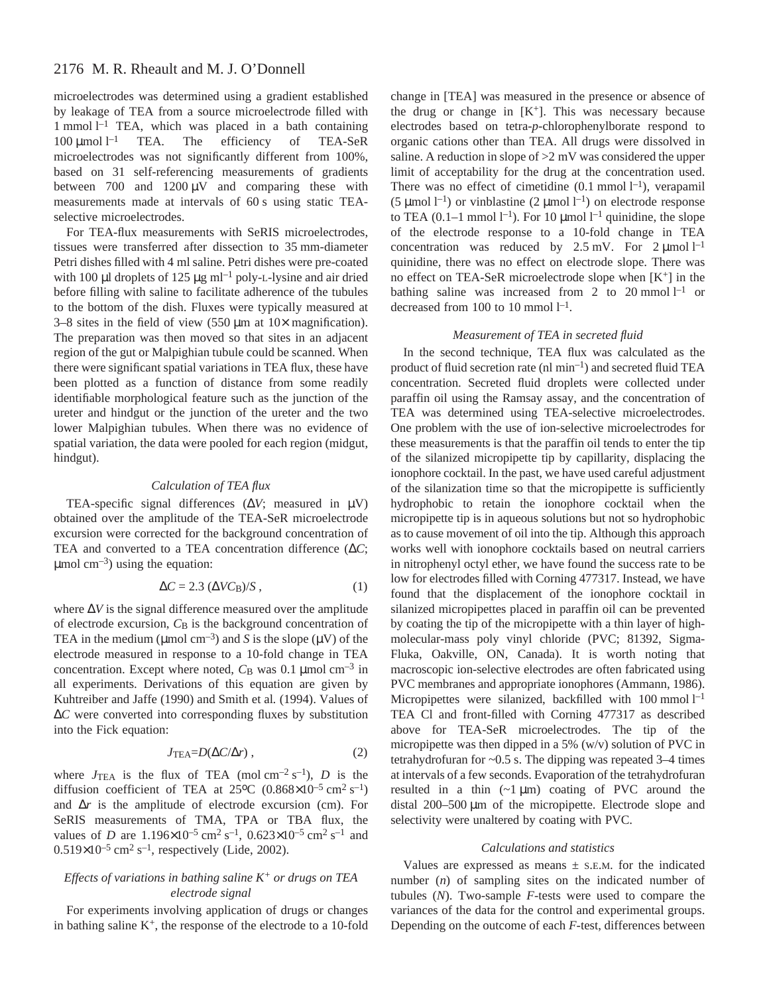microelectrodes was determined using a gradient established by leakage of TEA from a source microelectrode filled with 1 mmol  $l^{-1}$  TEA, which was placed in a bath containing  $100 \mu$ mol  $l^{-1}$  TEA. The efficiency of TEA-SeR microelectrodes was not significantly different from 100%, based on 31 self-referencing measurements of gradients between 700 and  $1200 \mu V$  and comparing these with measurements made at intervals of 60 s using static TEAselective microelectrodes.

For TEA-flux measurements with SeRIS microelectrodes, tissues were transferred after dissection to 35 mm-diameter Petri dishes filled with 4 ml saline. Petri dishes were pre-coated with 100  $\mu$ l droplets of 125  $\mu$ g ml<sup>-1</sup> poly-L-lysine and air dried before filling with saline to facilitate adherence of the tubules to the bottom of the dish. Fluxes were typically measured at 3–8 sites in the field of view (550  $\mu$ m at 10 $\times$  magnification). The preparation was then moved so that sites in an adjacent region of the gut or Malpighian tubule could be scanned. When there were significant spatial variations in TEA flux, these have been plotted as a function of distance from some readily identifiable morphological feature such as the junction of the ureter and hindgut or the junction of the ureter and the two lower Malpighian tubules. When there was no evidence of spatial variation, the data were pooled for each region (midgut, hindgut).

### *Calculation of TEA flux*

TEA-specific signal differences (∆*V*; measured in µV) obtained over the amplitude of the TEA-SeR microelectrode excursion were corrected for the background concentration of TEA and converted to a TEA concentration difference (∆*C*;  $\mu$ mol cm<sup>-3</sup>) using the equation:

$$
\Delta C = 2.3 \; (\Delta V C_B)/S \; , \tag{1}
$$

where ∆*V* is the signal difference measured over the amplitude of electrode excursion,  $C_B$  is the background concentration of TEA in the medium ( $\mu$ mol cm<sup>-3</sup>) and *S* is the slope ( $\mu$ V) of the electrode measured in response to a 10-fold change in TEA concentration. Except where noted,  $C_B$  was 0.1  $\mu$ mol cm<sup>-3</sup> in all experiments. Derivations of this equation are given by Kuhtreiber and Jaffe (1990) and Smith et al*.* (1994). Values of ∆*C* were converted into corresponding fluxes by substitution into the Fick equation:

$$
J_{\text{TEA}} = D(\Delta C/\Delta r) \,, \tag{2}
$$

where  $J_{\text{TEA}}$  is the flux of TEA (mol cm<sup>-2</sup> s<sup>-1</sup>), *D* is the diffusion coefficient of TEA at 25<sup>o</sup>C (0.868×10<sup>-5</sup> cm<sup>2</sup> s<sup>-1</sup>) and ∆*r* is the amplitude of electrode excursion (cm). For SeRIS measurements of TMA, TPA or TBA flux, the values of *D* are  $1.196 \times 10^{-5}$  cm<sup>2</sup> s<sup>-1</sup>, 0.623×10<sup>-5</sup> cm<sup>2</sup> s<sup>-1</sup> and  $0.519\times10^{-5}$  cm<sup>2</sup> s<sup>-1</sup>, respectively (Lide, 2002).

# *Effects of variations in bathing saline K<sup>+</sup> or drugs on TEA electrode signal*

For experiments involving application of drugs or changes in bathing saline  $K^+$ , the response of the electrode to a 10-fold

change in [TEA] was measured in the presence or absence of the drug or change in  $[K^+]$ . This was necessary because electrodes based on tetra-*p*-chlorophenylborate respond to organic cations other than TEA. All drugs were dissolved in saline. A reduction in slope of  $>2$  mV was considered the upper limit of acceptability for the drug at the concentration used. There was no effect of cimetidine  $(0.1 \text{ mmol } l^{-1})$ , verapamil (5 µmol  $l^{-1}$ ) or vinblastine (2 µmol  $l^{-1}$ ) on electrode response to TEA (0.1–1 mmol  $l^{-1}$ ). For 10 µmol  $l^{-1}$  quinidine, the slope of the electrode response to a 10-fold change in TEA concentration was reduced by 2.5 mV. For  $2 \mu$ mol l<sup>-1</sup> quinidine, there was no effect on electrode slope. There was no effect on TEA-SeR microelectrode slope when  $[K^+]$  in the bathing saline was increased from 2 to 20 mmol  $l^{-1}$  or decreased from 100 to 10 mmol  $l^{-1}$ .

### *Measurement of TEA in secreted fluid*

In the second technique, TEA flux was calculated as the product of fluid secretion rate (nl min<sup>-1</sup>) and secreted fluid TEA concentration. Secreted fluid droplets were collected under paraffin oil using the Ramsay assay, and the concentration of TEA was determined using TEA-selective microelectrodes. One problem with the use of ion-selective microelectrodes for these measurements is that the paraffin oil tends to enter the tip of the silanized micropipette tip by capillarity, displacing the ionophore cocktail. In the past, we have used careful adjustment of the silanization time so that the micropipette is sufficiently hydrophobic to retain the ionophore cocktail when the micropipette tip is in aqueous solutions but not so hydrophobic as to cause movement of oil into the tip. Although this approach works well with ionophore cocktails based on neutral carriers in nitrophenyl octyl ether, we have found the success rate to be low for electrodes filled with Corning 477317. Instead, we have found that the displacement of the ionophore cocktail in silanized micropipettes placed in paraffin oil can be prevented by coating the tip of the micropipette with a thin layer of highmolecular-mass poly vinyl chloride (PVC; 81392, Sigma-Fluka, Oakville, ON, Canada). It is worth noting that macroscopic ion-selective electrodes are often fabricated using PVC membranes and appropriate ionophores (Ammann, 1986). Micropipettes were silanized, backfilled with  $100$  mmol  $l^{-1}$ TEA Cl and front-filled with Corning 477317 as described above for TEA-SeR microelectrodes. The tip of the micropipette was then dipped in a 5% (w/v) solution of PVC in tetrahydrofuran for  $\sim 0.5$  s. The dipping was repeated 3–4 times at intervals of a few seconds. Evaporation of the tetrahydrofuran resulted in a thin  $(-1 \mu m)$  coating of PVC around the distal  $200-500 \mu m$  of the micropipette. Electrode slope and selectivity were unaltered by coating with PVC.

#### *Calculations and statistics*

Values are expressed as means  $\pm$  s.E.M. for the indicated number (*n*) of sampling sites on the indicated number of tubules (*N*). Two-sample *F*-tests were used to compare the variances of the data for the control and experimental groups. Depending on the outcome of each *F*-test, differences between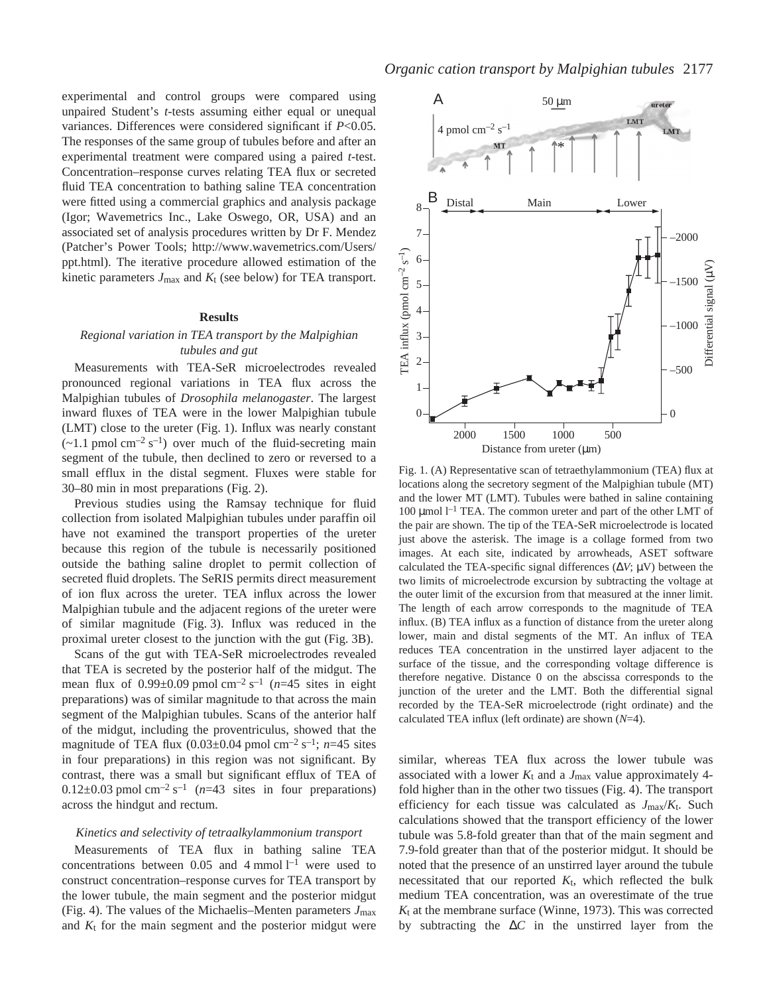experimental and control groups were compared using unpaired Student's *t*-tests assuming either equal or unequal variances. Differences were considered significant if *P*<0.05. The responses of the same group of tubules before and after an experimental treatment were compared using a paired *t*-test. Concentration–response curves relating TEA flux or secreted fluid TEA concentration to bathing saline TEA concentration were fitted using a commercial graphics and analysis package (Igor; Wavemetrics Inc., Lake Oswego, OR, USA) and an associated set of analysis procedures written by Dr F. Mendez (Patcher's Power Tools; http://www.wavemetrics.com/Users/ ppt.html). The iterative procedure allowed estimation of the kinetic parameters  $J_{\text{max}}$  and  $K_t$  (see below) for TEA transport.

### **Results**

## *Regional variation in TEA transport by the Malpighian tubules and gut*

Measurements with TEA-SeR microelectrodes revealed pronounced regional variations in TEA flux across the Malpighian tubules of *Drosophila melanogaster*. The largest inward fluxes of TEA were in the lower Malpighian tubule (LMT) close to the ureter (Fig. 1). Influx was nearly constant  $(\sim 1.1 \text{ pmol cm}^{-2} \text{ s}^{-1})$  over much of the fluid-secreting main segment of the tubule, then declined to zero or reversed to a small efflux in the distal segment. Fluxes were stable for 30–80 min in most preparations (Fig. 2).

Previous studies using the Ramsay technique for fluid collection from isolated Malpighian tubules under paraffin oil have not examined the transport properties of the ureter because this region of the tubule is necessarily positioned outside the bathing saline droplet to permit collection of secreted fluid droplets. The SeRIS permits direct measurement of ion flux across the ureter. TEA influx across the lower Malpighian tubule and the adjacent regions of the ureter were of similar magnitude (Fig. 3). Influx was reduced in the proximal ureter closest to the junction with the gut (Fig. 3B).

Scans of the gut with TEA-SeR microelectrodes revealed that TEA is secreted by the posterior half of the midgut. The mean flux of  $0.99\pm0.09$  pmol cm<sup>-2</sup> s<sup>-1</sup> (*n*=45 sites in eight preparations) was of similar magnitude to that across the main segment of the Malpighian tubules. Scans of the anterior half of the midgut, including the proventriculus, showed that the magnitude of TEA flux  $(0.03\pm0.04 \text{ pmol cm}^{-2} \text{ s}^{-1}; n=45 \text{ sites}$ in four preparations) in this region was not significant. By contrast, there was a small but significant efflux of TEA of  $0.12\pm0.03$  pmol cm<sup>-2</sup> s<sup>-1</sup> (*n*=43 sites in four preparations) across the hindgut and rectum.

### *Kinetics and selectivity of tetraalkylammonium transport*

Measurements of TEA flux in bathing saline TEA concentrations between 0.05 and 4 mmol  $l^{-1}$  were used to construct concentration–response curves for TEA transport by the lower tubule, the main segment and the posterior midgut (Fig. 4). The values of the Michaelis–Menten parameters  $J_{\text{max}}$ and  $K_t$  for the main segment and the posterior midgut were



Fig. 1. (A) Representative scan of tetraethylammonium (TEA) flux at locations along the secretory segment of the Malpighian tubule (MT) and the lower MT (LMT). Tubules were bathed in saline containing 100  $\mu$ mol l<sup>-1</sup> TEA. The common ureter and part of the other LMT of the pair are shown. The tip of the TEA-SeR microelectrode is located just above the asterisk. The image is a collage formed from two images. At each site, indicated by arrowheads, ASET software calculated the TEA-specific signal differences (∆*V*; µV) between the two limits of microelectrode excursion by subtracting the voltage at the outer limit of the excursion from that measured at the inner limit. The length of each arrow corresponds to the magnitude of TEA influx. (B) TEA influx as a function of distance from the ureter along lower, main and distal segments of the MT. An influx of TEA reduces TEA concentration in the unstirred layer adjacent to the surface of the tissue, and the corresponding voltage difference is therefore negative. Distance 0 on the abscissa corresponds to the junction of the ureter and the LMT. Both the differential signal recorded by the TEA-SeR microelectrode (right ordinate) and the calculated TEA influx (left ordinate) are shown (*N*=4).

similar, whereas TEA flux across the lower tubule was associated with a lower  $K_t$  and a  $J_{\text{max}}$  value approximately 4fold higher than in the other two tissues (Fig. 4). The transport efficiency for each tissue was calculated as *J*max/*K*t. Such calculations showed that the transport efficiency of the lower tubule was 5.8-fold greater than that of the main segment and 7.9-fold greater than that of the posterior midgut. It should be noted that the presence of an unstirred layer around the tubule necessitated that our reported  $K_t$ , which reflected the bulk medium TEA concentration, was an overestimate of the true  $K_t$  at the membrane surface (Winne, 1973). This was corrected by subtracting the ∆*C* in the unstirred layer from the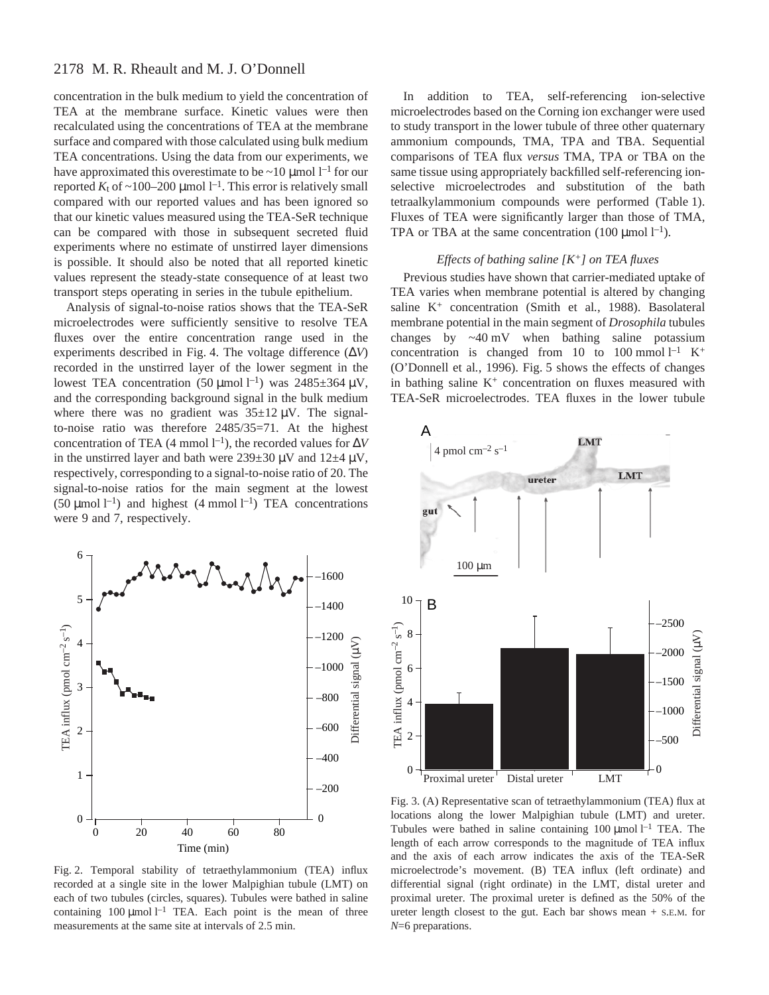concentration in the bulk medium to yield the concentration of TEA at the membrane surface. Kinetic values were then recalculated using the concentrations of TEA at the membrane surface and compared with those calculated using bulk medium TEA concentrations. Using the data from our experiments, we have approximated this overestimate to be  $\sim$  10 µmol l<sup>-1</sup> for our reported  $K_t$  of ~100–200 µmol  $l^{-1}$ . This error is relatively small compared with our reported values and has been ignored so that our kinetic values measured using the TEA-SeR technique can be compared with those in subsequent secreted fluid experiments where no estimate of unstirred layer dimensions is possible. It should also be noted that all reported kinetic values represent the steady-state consequence of at least two transport steps operating in series in the tubule epithelium.

Analysis of signal-to-noise ratios shows that the TEA-SeR microelectrodes were sufficiently sensitive to resolve TEA fluxes over the entire concentration range used in the experiments described in Fig. 4. The voltage difference  $(\Delta V)$ recorded in the unstirred layer of the lower segment in the lowest TEA concentration (50 µmol l<sup>-1</sup>) was  $2485\pm364$  µV, and the corresponding background signal in the bulk medium where there was no gradient was  $35\pm12 \mu V$ . The signalto-noise ratio was therefore 2485/35=71. At the highest concentration of TEA (4 mmol  $l^{-1}$ ), the recorded values for  $\Delta V$ in the unstirred layer and bath were  $239\pm30~\mu$ V and  $12\pm4~\mu$ V, respectively, corresponding to a signal-to-noise ratio of 20. The signal-to-noise ratios for the main segment at the lowest (50 µmol  $l^{-1}$ ) and highest (4 mmol  $l^{-1}$ ) TEA concentrations were 9 and 7, respectively.



Fig. 2. Temporal stability of tetraethylammonium (TEA) influx recorded at a single site in the lower Malpighian tubule (LMT) on each of two tubules (circles, squares). Tubules were bathed in saline containing  $100 \mu$ mol l<sup>-1</sup> TEA. Each point is the mean of three measurements at the same site at intervals of 2.5 min.

In addition to TEA, self-referencing ion-selective microelectrodes based on the Corning ion exchanger were used to study transport in the lower tubule of three other quaternary ammonium compounds, TMA, TPA and TBA. Sequential comparisons of TEA flux *versus* TMA, TPA or TBA on the same tissue using appropriately backfilled self-referencing ionselective microelectrodes and substitution of the bath tetraalkylammonium compounds were performed (Table 1). Fluxes of TEA were significantly larger than those of TMA, TPA or TBA at the same concentration (100  $\mu$ mol l<sup>-1</sup>).

## *Effects of bathing saline [K+] on TEA fluxes*

Previous studies have shown that carrier-mediated uptake of TEA varies when membrane potential is altered by changing saline K+ concentration (Smith et al*.*, 1988). Basolateral membrane potential in the main segment of *Drosophila* tubules changes by  $\sim$  40 mV when bathing saline potassium concentration is changed from 10 to 100 mmol  $l^{-1}$  K<sup>+</sup> (O'Donnell et al., 1996). Fig. 5 shows the effects of changes in bathing saline  $K^+$  concentration on fluxes measured with TEA-SeR microelectrodes. TEA fluxes in the lower tubule



Fig. 3. (A) Representative scan of tetraethylammonium (TEA) flux at locations along the lower Malpighian tubule (LMT) and ureter. Tubules were bathed in saline containing  $100 \mu$ mol l<sup>-1</sup> TEA. The length of each arrow corresponds to the magnitude of TEA influx and the axis of each arrow indicates the axis of the TEA-SeR microelectrode's movement. (B) TEA influx (left ordinate) and differential signal (right ordinate) in the LMT, distal ureter and proximal ureter. The proximal ureter is defined as the 50% of the ureter length closest to the gut. Each bar shows mean + S.E.M. for *N*=6 preparations.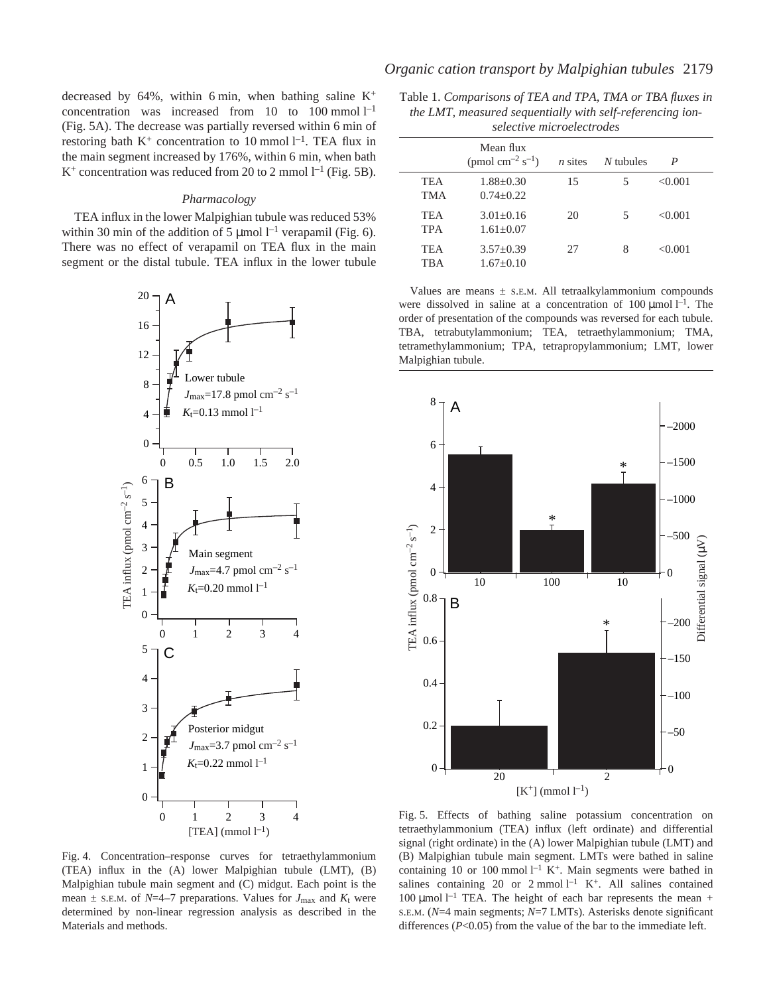decreased by 64%, within 6 min, when bathing saline  $K^+$ concentration was increased from 10 to 100 mmol  $l^{-1}$ (Fig. 5A). The decrease was partially reversed within 6 min of restoring bath  $K^+$  concentration to 10 mmol  $l^{-1}$ . TEA flux in the main segment increased by 176%, within 6 min, when bath  $K^+$  concentration was reduced from 20 to 2 mmol  $l^{-1}$  (Fig. 5B).

#### *Pharmacology*

TEA influx in the lower Malpighian tubule was reduced 53% within 30 min of the addition of 5  $\mu$ mol l<sup>-1</sup> verapamil (Fig. 6). There was no effect of verapamil on TEA flux in the main segment or the distal tubule. TEA influx in the lower tubule



Fig. 4. Concentration–response curves for tetraethylammonium (TEA) influx in the (A) lower Malpighian tubule (LMT), (B) Malpighian tubule main segment and (C) midgut. Each point is the mean  $\pm$  s.e.m. of *N*=4–7 preparations. Values for *J*<sub>max</sub> and *K*<sub>t</sub> were determined by non-linear regression analysis as described in the Materials and methods.

Table 1. *Comparisons of TEA and TPA, TMA or TBA fluxes in the LMT, measured sequentially with self-referencing ionselective microelectrodes*

|                   | Mean flux<br>(pmol cm <sup>-2</sup> s <sup>-1</sup> ) | $n$ sites | $N$ tubules | P       |  |
|-------------------|-------------------------------------------------------|-----------|-------------|---------|--|
| TEA<br>TMA        | $1.88 + 0.30$<br>$0.74 + 0.22$                        | 15        | 5           | < 0.001 |  |
| TEA<br><b>TPA</b> | $3.01 \pm 0.16$<br>$1.61 + 0.07$                      | 20        | 5           | < 0.001 |  |
| TEA<br>TBA        | $3.57 \pm 0.39$<br>$1.67+0.10$                        | 27        | 8           | < 0.001 |  |

Values are means  $\pm$  s.E.M. All tetraalkylammonium compounds were dissolved in saline at a concentration of  $100 \mu$ mol  $l^{-1}$ . The order of presentation of the compounds was reversed for each tubule. TBA, tetrabutylammonium; TEA, tetraethylammonium; TMA, tetramethylammonium; TPA, tetrapropylammonium; LMT, lower Malpighian tubule.



Fig. 5. Effects of bathing saline potassium concentration on tetraethylammonium (TEA) influx (left ordinate) and differential signal (right ordinate) in the (A) lower Malpighian tubule (LMT) and (B) Malpighian tubule main segment. LMTs were bathed in saline containing 10 or 100 mmol  $l^{-1}$  K<sup>+</sup>. Main segments were bathed in salines containing 20 or 2 mmol  $l^{-1}$  K<sup>+</sup>. All salines contained 100  $\mu$ mol<sup>1-1</sup> TEA. The height of each bar represents the mean + S.E.M. (*N*=4 main segments; *N*=7 LMTs). Asterisks denote significant differences  $(P<0.05)$  from the value of the bar to the immediate left.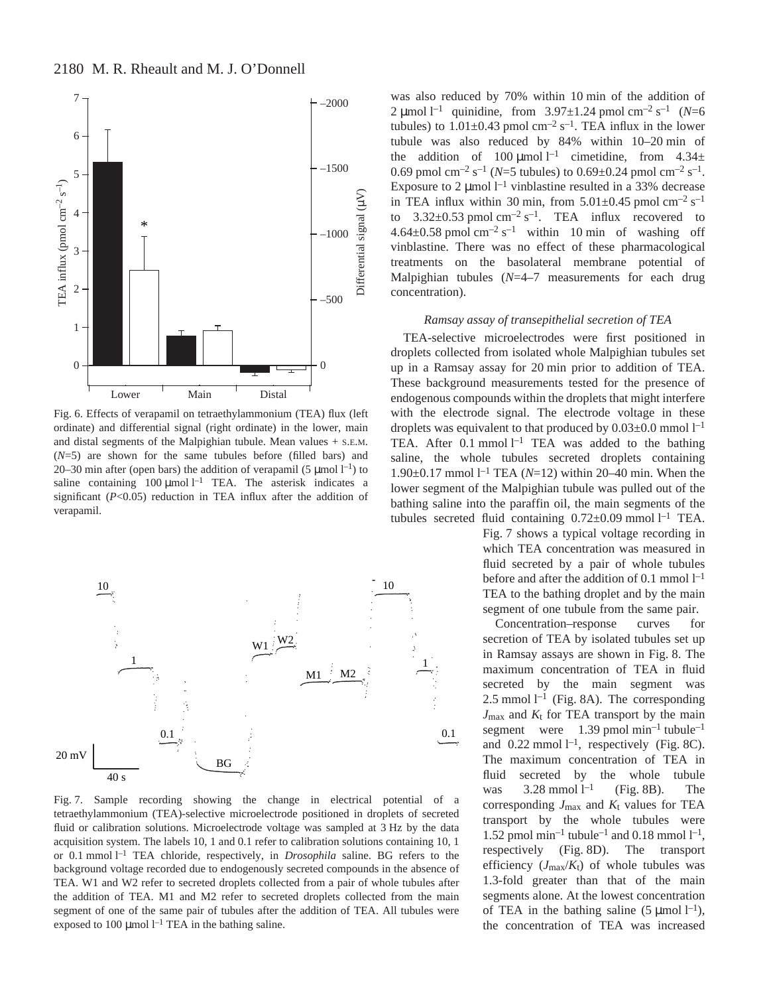

Fig. 6. Effects of verapamil on tetraethylammonium (TEA) flux (left ordinate) and differential signal (right ordinate) in the lower, main and distal segments of the Malpighian tubule. Mean values + S.E.M. (*N*=5) are shown for the same tubules before (filled bars) and 20–30 min after (open bars) the addition of verapamil (5  $\mu$ mol l<sup>-1</sup>) to saline containing  $100 \mu$ mol l<sup>-1</sup> TEA. The asterisk indicates a significant (*P*<0.05) reduction in TEA influx after the addition of verapamil.



Fig. 7. Sample recording showing the change in electrical potential of a tetraethylammonium (TEA)-selective microelectrode positioned in droplets of secreted fluid or calibration solutions. Microelectrode voltage was sampled at 3 Hz by the data acquisition system. The labels 10, 1 and 0.1 refer to calibration solutions containing 10, 1 or 0.1 mmol<sup>1-1</sup> TEA chloride, respectively, in *Drosophila* saline. BG refers to the background voltage recorded due to endogenously secreted compounds in the absence of TEA. W1 and W2 refer to secreted droplets collected from a pair of whole tubules after the addition of TEA. M1 and M2 refer to secreted droplets collected from the main segment of one of the same pair of tubules after the addition of TEA. All tubules were exposed to 100  $\mu$ mol l<sup>-1</sup> TEA in the bathing saline.

was also reduced by 70% within 10 min of the addition of  $2 \mu$ mol l<sup>-1</sup> quinidine, from 3.97 $\pm$ 1.24 pmol cm<sup>-2</sup> s<sup>-1</sup> (*N*=6 tubules) to  $1.01\pm0.43$  pmol cm<sup>-2</sup> s<sup>-1</sup>. TEA influx in the lower tubule was also reduced by  $84\%$  within  $10-20$  min of the addition of 100  $\mu$ mol l<sup>-1</sup> cimetidine, from 4.34 $\pm$ 0.69 pmol cm<sup>-2</sup> s<sup>-1</sup> (*N*=5 tubules) to 0.69±0.24 pmol cm<sup>-2</sup> s<sup>-1</sup>. Exposure to 2  $\mu$ mol l<sup>-1</sup> vinblastine resulted in a 33% decrease in TEA influx within 30 min, from  $5.01\pm0.45$  pmol cm<sup>-2</sup> s<sup>-1</sup> to  $3.32\pm0.53$  pmol cm<sup>-2</sup> s<sup>-1</sup>. TEA influx recovered to  $4.64\pm0.58$  pmol cm<sup>-2</sup> s<sup>-1</sup> within 10 min of washing off vinblastine. There was no effect of these pharmacological treatments on the basolateral membrane potential of Malpighian tubules (*N*=4–7 measurements for each drug concentration).

### *Ramsay assay of transepithelial secretion of TEA*

TEA-selective microelectrodes were first positioned in droplets collected from isolated whole Malpighian tubules set up in a Ramsay assay for 20 min prior to addition of TEA. These background measurements tested for the presence of endogenous compounds within the droplets that might interfere with the electrode signal. The electrode voltage in these droplets was equivalent to that produced by  $0.03\pm0.0$  mmol  $1^{-1}$ TEA. After  $0.1$  mmol  $l^{-1}$  TEA was added to the bathing saline, the whole tubules secreted droplets containing 1.90 $\pm$ 0.17 mmol<sup>1-1</sup> TEA (*N*=12) within 20–40 min. When the lower segment of the Malpighian tubule was pulled out of the bathing saline into the paraffin oil, the main segments of the tubules secreted fluid containing  $0.72 \pm 0.09$  mmol l<sup>-1</sup> TEA.

Fig. 7 shows a typical voltage recording in which TEA concentration was measured in fluid secreted by a pair of whole tubules before and after the addition of 0.1 mmol  $l^{-1}$ TEA to the bathing droplet and by the main segment of one tubule from the same pair.

Concentration–response curves for secretion of TEA by isolated tubules set up in Ramsay assays are shown in Fig. 8. The maximum concentration of TEA in fluid secreted by the main segment was 2.5 mmol  $l^{-1}$  (Fig. 8A). The corresponding  $J_{\text{max}}$  and  $K_t$  for TEA transport by the main segment were  $1.39$  pmol min<sup>-1</sup> tubule<sup>-1</sup> and  $0.22$  mmol  $l^{-1}$ , respectively (Fig. 8C). The maximum concentration of TEA in fluid secreted by the whole tubule was  $3.28 \text{ mmol } 1^{-1}$  $(Fig. 8B)$ . The corresponding  $J_{\text{max}}$  and  $K_t$  values for TEA transport by the whole tubules were 1.52 pmol min<sup>-1</sup> tubule<sup>-1</sup> and 0.18 mmol  $l^{-1}$ , respectively (Fig. 8D). The transport efficiency  $(J_{\text{max}}/K_t)$  of whole tubules was 1.3-fold greater than that of the main segments alone. At the lowest concentration of TEA in the bathing saline  $(5 \mu \text{mol} \, \text{m}^{-1})$ , the concentration of TEA was increased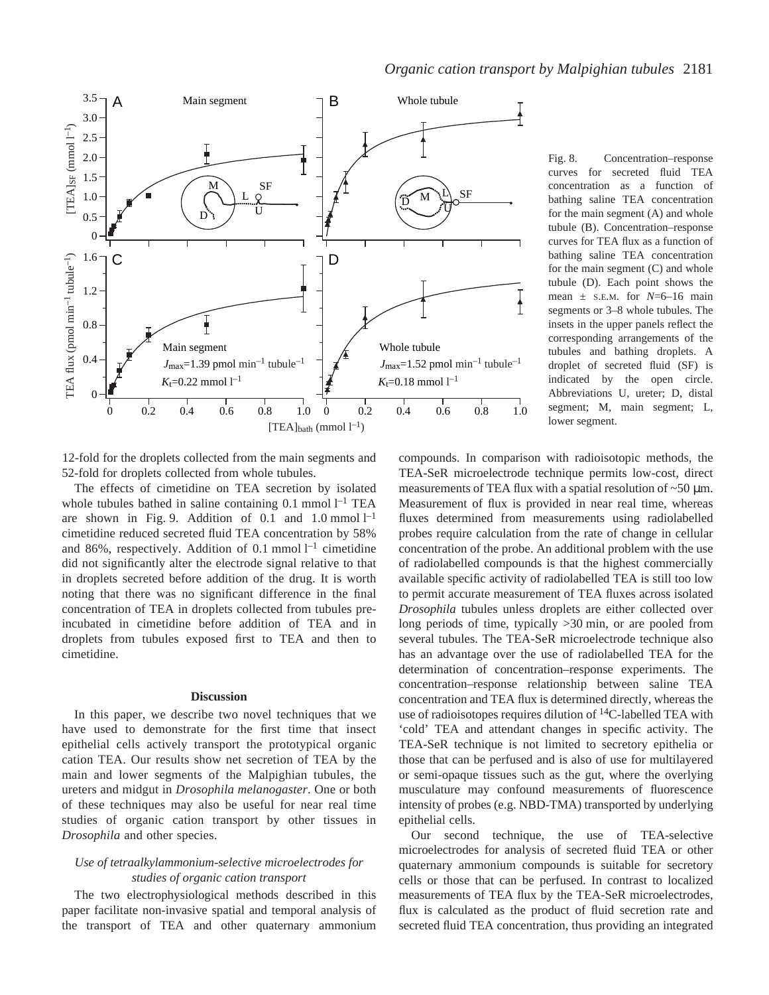

Fig. 8. Concentration–response curves for secreted fluid TEA concentration as a function of bathing saline TEA concentration for the main segment (A) and whole tubule (B). Concentration–response curves for TEA flux as a function of bathing saline TEA concentration for the main segment (C) and whole tubule (D). Each point shows the mean ± S.E.M. for *N*=6–16 main segments or 3–8 whole tubules. The insets in the upper panels reflect the corresponding arrangements of the tubules and bathing droplets. A droplet of secreted fluid (SF) is indicated by the open circle. Abbreviations U, ureter; D, distal segment; M, main segment; L, lower segment.

12-fold for the droplets collected from the main segments and 52-fold for droplets collected from whole tubules.

The effects of cimetidine on TEA secretion by isolated whole tubules bathed in saline containing  $0.1$  mmol  $l<sup>-1</sup>$  TEA are shown in Fig. 9. Addition of 0.1 and  $1.0 \text{ mmol} \, \text{l}^{-1}$ cimetidine reduced secreted fluid TEA concentration by 58% and 86%, respectively. Addition of 0.1 mmol  $l^{-1}$  cimetidine did not significantly alter the electrode signal relative to that in droplets secreted before addition of the drug. It is worth noting that there was no significant difference in the final concentration of TEA in droplets collected from tubules preincubated in cimetidine before addition of TEA and in droplets from tubules exposed first to TEA and then to cimetidine.

### **Discussion**

In this paper, we describe two novel techniques that we have used to demonstrate for the first time that insect epithelial cells actively transport the prototypical organic cation TEA. Our results show net secretion of TEA by the main and lower segments of the Malpighian tubules, the ureters and midgut in *Drosophila melanogaster*. One or both of these techniques may also be useful for near real time studies of organic cation transport by other tissues in *Drosophila* and other species.

## *Use of tetraalkylammonium-selective microelectrodes for studies of organic cation transport*

The two electrophysiological methods described in this paper facilitate non-invasive spatial and temporal analysis of the transport of TEA and other quaternary ammonium compounds. In comparison with radioisotopic methods, the TEA-SeR microelectrode technique permits low-cost, direct measurements of TEA flux with a spatial resolution of  $\sim 50 \mu$ m. Measurement of flux is provided in near real time, whereas fluxes determined from measurements using radiolabelled probes require calculation from the rate of change in cellular concentration of the probe. An additional problem with the use of radiolabelled compounds is that the highest commercially available specific activity of radiolabelled TEA is still too low to permit accurate measurement of TEA fluxes across isolated *Drosophila* tubules unless droplets are either collected over long periods of time, typically  $>30$  min, or are pooled from several tubules. The TEA-SeR microelectrode technique also has an advantage over the use of radiolabelled TEA for the determination of concentration–response experiments. The concentration–response relationship between saline TEA concentration and TEA flux is determined directly, whereas the use of radioisotopes requires dilution of  $^{14}$ C-labelled TEA with 'cold' TEA and attendant changes in specific activity. The TEA-SeR technique is not limited to secretory epithelia or those that can be perfused and is also of use for multilayered or semi-opaque tissues such as the gut, where the overlying musculature may confound measurements of fluorescence intensity of probes (e.g. NBD-TMA) transported by underlying epithelial cells.

Our second technique, the use of TEA-selective microelectrodes for analysis of secreted fluid TEA or other quaternary ammonium compounds is suitable for secretory cells or those that can be perfused. In contrast to localized measurements of TEA flux by the TEA-SeR microelectrodes, flux is calculated as the product of fluid secretion rate and secreted fluid TEA concentration, thus providing an integrated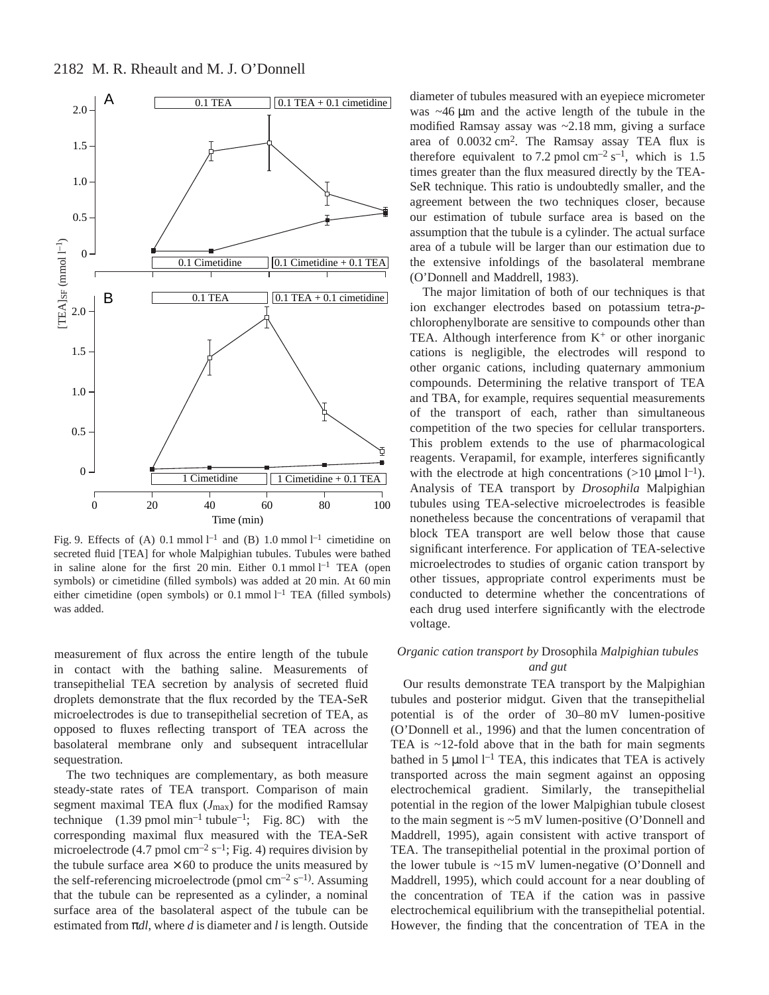

Fig. 9. Effects of (A) 0.1 mmol  $l^{-1}$  and (B) 1.0 mmol  $l^{-1}$  cimetidine on secreted fluid [TEA] for whole Malpighian tubules. Tubules were bathed in saline alone for the first 20 min. Either  $0.1$  mmol  $l^{-1}$  TEA (open symbols) or cimetidine (filled symbols) was added at 20 min. At 60 min either cimetidine (open symbols) or  $0.1$  mmol  $l^{-1}$  TEA (filled symbols) was added.

measurement of flux across the entire length of the tubule in contact with the bathing saline. Measurements of transepithelial TEA secretion by analysis of secreted fluid droplets demonstrate that the flux recorded by the TEA-SeR microelectrodes is due to transepithelial secretion of TEA, as opposed to fluxes reflecting transport of TEA across the basolateral membrane only and subsequent intracellular sequestration.

The two techniques are complementary, as both measure steady-state rates of TEA transport. Comparison of main segment maximal TEA flux (*J*max) for the modified Ramsay technique  $(1.39 \text{ pmol min}^{-1} \text{ tubule}^{-1})$ ; Fig. 8C) with the corresponding maximal flux measured with the TEA-SeR microelectrode (4.7 pmol cm<sup>-2</sup> s<sup>-1</sup>; Fig. 4) requires division by the tubule surface area  $\times$  60 to produce the units measured by the self-referencing microelectrode (pmol cm<sup>-2</sup> s<sup>-1)</sup>. Assuming that the tubule can be represented as a cylinder, a nominal surface area of the basolateral aspect of the tubule can be estimated from π*dl*, where *d* is diameter and *l* is length. Outside diameter of tubules measured with an eyepiece micrometer was  $\sim$ 46  $\mu$ m and the active length of the tubule in the modified Ramsay assay was  $\sim$  2.18 mm, giving a surface area of  $0.0032 \text{ cm}^2$ . The Ramsay assay TEA flux is therefore equivalent to 7.2 pmol cm<sup>-2</sup> s<sup>-1</sup>, which is 1.5 times greater than the flux measured directly by the TEA-SeR technique. This ratio is undoubtedly smaller, and the agreement between the two techniques closer, because our estimation of tubule surface area is based on the assumption that the tubule is a cylinder. The actual surface area of a tubule will be larger than our estimation due to the extensive infoldings of the basolateral membrane (O'Donnell and Maddrell, 1983).

The major limitation of both of our techniques is that ion exchanger electrodes based on potassium tetra-*p*chlorophenylborate are sensitive to compounds other than TEA. Although interference from  $K^+$  or other inorganic cations is negligible, the electrodes will respond to other organic cations, including quaternary ammonium compounds. Determining the relative transport of TEA and TBA, for example, requires sequential measurements of the transport of each, rather than simultaneous competition of the two species for cellular transporters. This problem extends to the use of pharmacological reagents. Verapamil, for example, interferes significantly with the electrode at high concentrations (>10  $\mu$ mol l<sup>-1</sup>). Analysis of TEA transport by *Drosophila* Malpighian tubules using TEA-selective microelectrodes is feasible nonetheless because the concentrations of verapamil that block TEA transport are well below those that cause significant interference. For application of TEA-selective microelectrodes to studies of organic cation transport by other tissues, appropriate control experiments must be conducted to determine whether the concentrations of each drug used interfere significantly with the electrode voltage.

## *Organic cation transport by* Drosophila *Malpighian tubules and gut*

Our results demonstrate TEA transport by the Malpighian tubules and posterior midgut. Given that the transepithelial potential is of the order of 30–80 mV lumen-positive (O'Donnell et al*.*, 1996) and that the lumen concentration of TEA is  $\sim$ 12-fold above that in the bath for main segments bathed in 5  $\mu$ mol l<sup>-1</sup> TEA, this indicates that TEA is actively transported across the main segment against an opposing electrochemical gradient. Similarly, the transepithelial potential in the region of the lower Malpighian tubule closest to the main segment is  $\sim$  5 mV lumen-positive (O'Donnell and Maddrell, 1995), again consistent with active transport of TEA. The transepithelial potential in the proximal portion of the lower tubule is  $\sim 15$  mV lumen-negative (O'Donnell and Maddrell, 1995), which could account for a near doubling of the concentration of TEA if the cation was in passive electrochemical equilibrium with the transepithelial potential. However, the finding that the concentration of TEA in the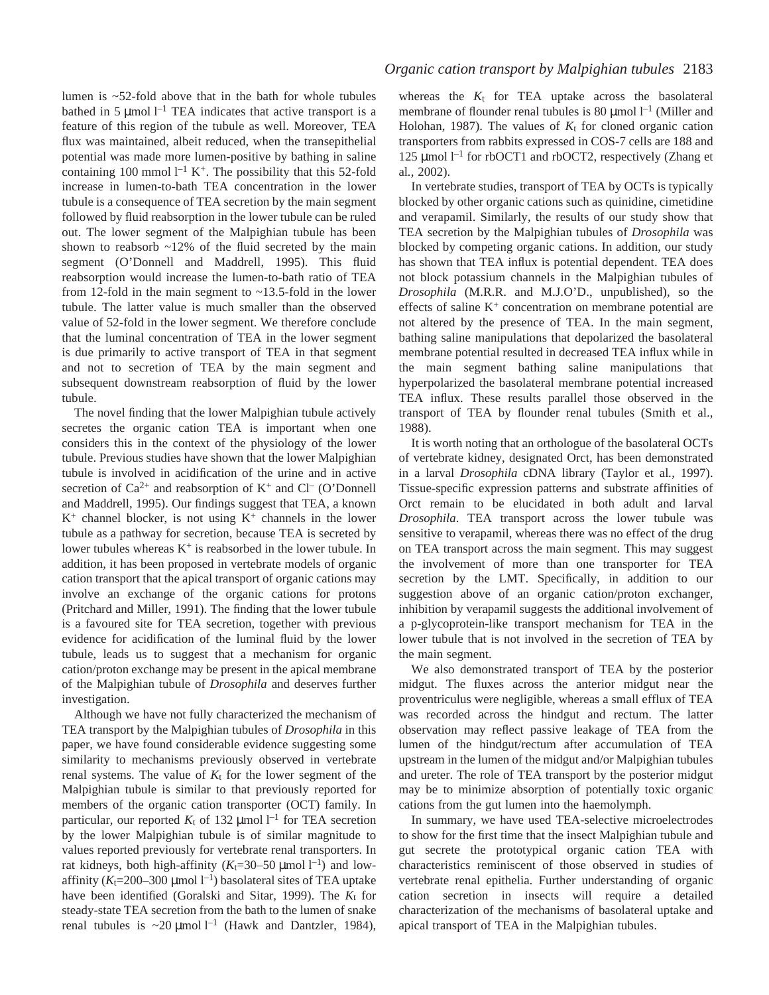lumen is ~52-fold above that in the bath for whole tubules bathed in 5  $\mu$ mol<sup>1-1</sup> TEA indicates that active transport is a feature of this region of the tubule as well. Moreover, TEA flux was maintained, albeit reduced, when the transepithelial potential was made more lumen-positive by bathing in saline containing 100 mmol  $l^{-1}$  K<sup>+</sup>. The possibility that this 52-fold increase in lumen-to-bath TEA concentration in the lower tubule is a consequence of TEA secretion by the main segment followed by fluid reabsorption in the lower tubule can be ruled out. The lower segment of the Malpighian tubule has been shown to reabsorb  $\sim$ 12% of the fluid secreted by the main segment (O'Donnell and Maddrell, 1995). This fluid reabsorption would increase the lumen-to-bath ratio of TEA from 12-fold in the main segment to ~13.5-fold in the lower tubule. The latter value is much smaller than the observed value of 52-fold in the lower segment. We therefore conclude that the luminal concentration of TEA in the lower segment is due primarily to active transport of TEA in that segment and not to secretion of TEA by the main segment and subsequent downstream reabsorption of fluid by the lower tubule.

The novel finding that the lower Malpighian tubule actively secretes the organic cation TEA is important when one considers this in the context of the physiology of the lower tubule. Previous studies have shown that the lower Malpighian tubule is involved in acidification of the urine and in active secretion of  $Ca^{2+}$  and reabsorption of  $K^+$  and  $Cl^-$  (O'Donnell and Maddrell, 1995). Our findings suggest that TEA, a known  $K^+$  channel blocker, is not using  $K^+$  channels in the lower tubule as a pathway for secretion, because TEA is secreted by lower tubules whereas  $K^+$  is reabsorbed in the lower tubule. In addition, it has been proposed in vertebrate models of organic cation transport that the apical transport of organic cations may involve an exchange of the organic cations for protons (Pritchard and Miller, 1991). The finding that the lower tubule is a favoured site for TEA secretion, together with previous evidence for acidification of the luminal fluid by the lower tubule, leads us to suggest that a mechanism for organic cation/proton exchange may be present in the apical membrane of the Malpighian tubule of *Drosophila* and deserves further investigation.

Although we have not fully characterized the mechanism of TEA transport by the Malpighian tubules of *Drosophila* in this paper, we have found considerable evidence suggesting some similarity to mechanisms previously observed in vertebrate renal systems. The value of  $K_t$  for the lower segment of the Malpighian tubule is similar to that previously reported for members of the organic cation transporter (OCT) family. In particular, our reported  $K_t$  of 132  $\mu$ mol l<sup>-1</sup> for TEA secretion by the lower Malpighian tubule is of similar magnitude to values reported previously for vertebrate renal transporters. In rat kidneys, both high-affinity  $(K_t=30-50 \text{ \mu mol } l^{-1})$  and lowaffinity ( $K_t$ =200–300 µmol  $l^{-1}$ ) basolateral sites of TEA uptake have been identified (Goralski and Sitar, 1999). The  $K_t$  for steady-state TEA secretion from the bath to the lumen of snake renal tubules is  $\sim 20 \mu$ mol l<sup>-1</sup> (Hawk and Dantzler, 1984),

whereas the *K*t for TEA uptake across the basolateral membrane of flounder renal tubules is 80  $\mu$ mol l<sup>-1</sup> (Miller and Holohan, 1987). The values of  $K_t$  for cloned organic cation transporters from rabbits expressed in COS-7 cells are 188 and 125 µmol<sup>1-1</sup> for rbOCT1 and rbOCT2, respectively (Zhang et al*.*, 2002).

In vertebrate studies, transport of TEA by OCTs is typically blocked by other organic cations such as quinidine, cimetidine and verapamil. Similarly, the results of our study show that TEA secretion by the Malpighian tubules of *Drosophila* was blocked by competing organic cations. In addition, our study has shown that TEA influx is potential dependent. TEA does not block potassium channels in the Malpighian tubules of *Drosophila* (M.R.R. and M.J.O'D., unpublished), so the effects of saline  $K^+$  concentration on membrane potential are not altered by the presence of TEA. In the main segment, bathing saline manipulations that depolarized the basolateral membrane potential resulted in decreased TEA influx while in the main segment bathing saline manipulations that hyperpolarized the basolateral membrane potential increased TEA influx. These results parallel those observed in the transport of TEA by flounder renal tubules (Smith et al., 1988).

It is worth noting that an orthologue of the basolateral OCTs of vertebrate kidney, designated Orct, has been demonstrated in a larval *Drosophila* cDNA library (Taylor et al*.*, 1997). Tissue-specific expression patterns and substrate affinities of Orct remain to be elucidated in both adult and larval *Drosophila*. TEA transport across the lower tubule was sensitive to verapamil, whereas there was no effect of the drug on TEA transport across the main segment. This may suggest the involvement of more than one transporter for TEA secretion by the LMT. Specifically, in addition to our suggestion above of an organic cation/proton exchanger, inhibition by verapamil suggests the additional involvement of a p-glycoprotein-like transport mechanism for TEA in the lower tubule that is not involved in the secretion of TEA by the main segment.

We also demonstrated transport of TEA by the posterior midgut. The fluxes across the anterior midgut near the proventriculus were negligible, whereas a small efflux of TEA was recorded across the hindgut and rectum. The latter observation may reflect passive leakage of TEA from the lumen of the hindgut/rectum after accumulation of TEA upstream in the lumen of the midgut and/or Malpighian tubules and ureter. The role of TEA transport by the posterior midgut may be to minimize absorption of potentially toxic organic cations from the gut lumen into the haemolymph.

In summary, we have used TEA-selective microelectrodes to show for the first time that the insect Malpighian tubule and gut secrete the prototypical organic cation TEA with characteristics reminiscent of those observed in studies of vertebrate renal epithelia. Further understanding of organic cation secretion in insects will require a detailed characterization of the mechanisms of basolateral uptake and apical transport of TEA in the Malpighian tubules.